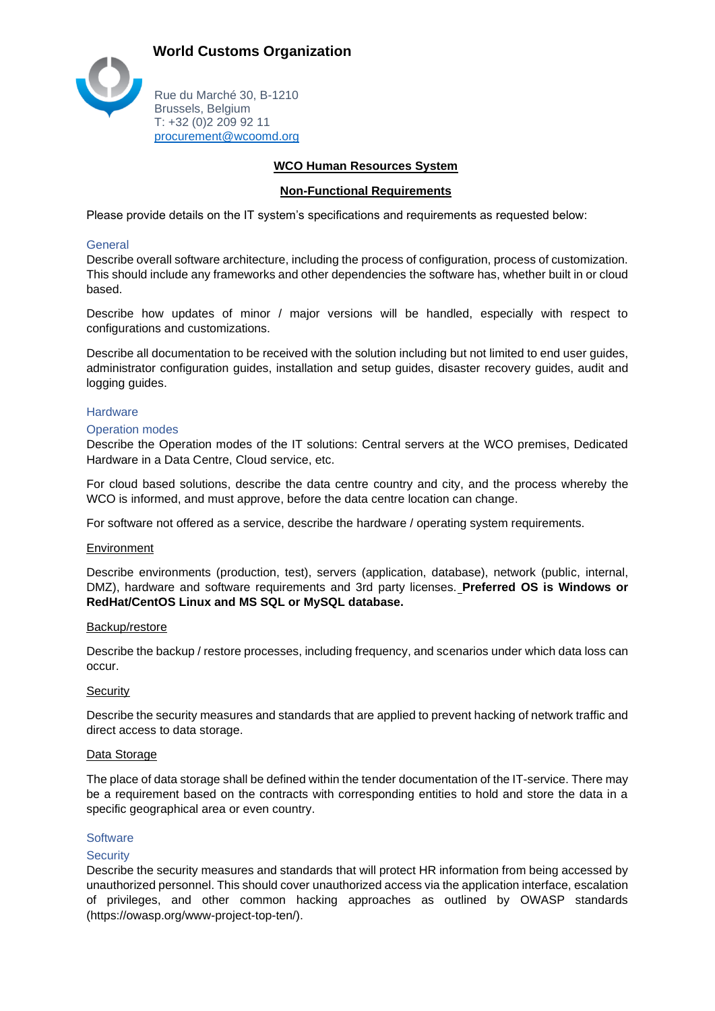

Rue du Marché 30, B-1210 Brussels, Belgium T: +32 (0)2 209 92 11 [procurement@wcoomd.org](mailto:procurement@wcoomd.org)

# **WCO Human Resources System**

# **Non-Functional Requirements**

Please provide details on the IT system's specifications and requirements as requested below:

# **General**

Describe overall software architecture, including the process of configuration, process of customization. This should include any frameworks and other dependencies the software has, whether built in or cloud based.

Describe how updates of minor / major versions will be handled, especially with respect to configurations and customizations.

Describe all documentation to be received with the solution including but not limited to end user guides, administrator configuration guides, installation and setup guides, disaster recovery guides, audit and logging guides.

#### **Hardware**

#### Operation modes

Describe the Operation modes of the IT solutions: Central servers at the WCO premises, Dedicated Hardware in a Data Centre, Cloud service, etc.

For cloud based solutions, describe the data centre country and city, and the process whereby the WCO is informed, and must approve, before the data centre location can change.

For software not offered as a service, describe the hardware / operating system requirements.

#### **Environment**

Describe environments (production, test), servers (application, database), network (public, internal, DMZ), hardware and software requirements and 3rd party licenses. **Preferred OS is Windows or RedHat/CentOS Linux and MS SQL or MySQL database.**

#### Backup/restore

Describe the backup / restore processes, including frequency, and scenarios under which data loss can occur.

# **Security**

Describe the security measures and standards that are applied to prevent hacking of network traffic and direct access to data storage.

# Data Storage

The place of data storage shall be defined within the tender documentation of the IT-service. There may be a requirement based on the contracts with corresponding entities to hold and store the data in a specific geographical area or even country.

#### **Software**

#### **Security**

Describe the security measures and standards that will protect HR information from being accessed by unauthorized personnel. This should cover unauthorized access via the application interface, escalation of privileges, and other common hacking approaches as outlined by OWASP standards (https://owasp.org/www-project-top-ten/).